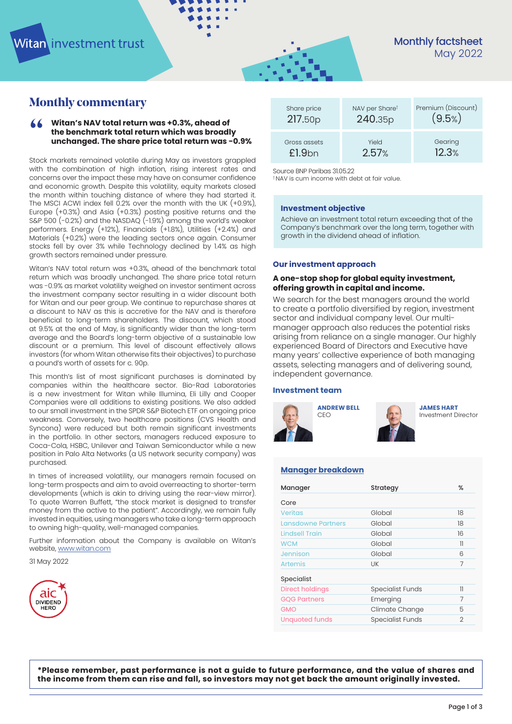# **Monthly commentary**

### <sup>"</sup> **Witan's NAV total return was +0.3%, ahead of the benchmark total return which was broadly unchanged. The share price total return was -0.9%**

Stock markets remained volatile during May as investors grappled with the combination of high inflation, rising interest rates and concerns over the impact these may have on consumer confidence and economic growth. Despite this volatility, equity markets closed the month within touching distance of where they had started it. The MSCI ACWI index fell 0.2% over the month with the UK (+0.9%), Europe (+0.3%) and Asia (+0.3%) posting positive returns and the S&P 500 (-0.2%) and the NASDAQ (-1.9%) among the world's weaker performers. Energy (+12%), Financials (+1.8%), Utilities (+2.4%) and Materials (+0.2%) were the leading sectors once again. Consumer stocks fell by over 3% while Technology declined by 1.4% as high growth sectors remained under pressure.

Witan's NAV total return was +0.3%, ahead of the benchmark total return which was broadly unchanged. The share price total return was -0.9% as market volatility weighed on investor sentiment across the investment company sector resulting in a wider discount both for Witan and our peer group. We continue to repurchase shares at a discount to NAV as this is accretive for the NAV and is therefore beneficial to long-term shareholders. The discount, which stood at 9.5% at the end of May, is significantly wider than the long-term average and the Board's long-term objective of a sustainable low discount or a premium. This level of discount effectively allows investors (for whom Witan otherwise fits their objectives) to purchase a pound's worth of assets for c. 90p.

This month's list of most significant purchases is dominated by companies within the healthcare sector. Bio-Rad Laboratories is a new investment for Witan while Illumina, Eli Lilly and Cooper Companies were all additions to existing positions. We also added to our small investment in the SPDR S&P Biotech ETF on ongoing price weakness. Conversely, two healthcare positions (CVS Health and Syncona) were reduced but both remain significant investments in the portfolio. In other sectors, managers reduced exposure to Coca-Cola, HSBC, Unilever and Taiwan Semiconductor while a new position in Palo Alta Networks (a US network security company) was purchased.

In times of increased volatility, our managers remain focused on long-term prospects and aim to avoid overreacting to shorter-term developments (which is akin to driving using the rear-view mirror). To quote Warren Buffett, "the stock market is designed to transfer money from the active to the patient". Accordingly, we remain fully invested in equities, using managers who take a long-term approach to owning high-quality, well-managed companies.

Further information about the Company is available on Witan's website, [www.witan.com](http://www.witan.com)

31 May 2022



| Share price        | NAV per Sharet | Premium (Discount) |
|--------------------|----------------|--------------------|
| 217.50p            | 240.35p        | (9.5%              |
| Gross assets       | Yield          | Gearing            |
| £1.9 <sub>bn</sub> | 2.57%          | 12.3%              |

Source BNP Paribas 31.05.22

† NAV is cum income with debt at fair value.

#### **Investment objective**

Achieve an investment total return exceeding that of the Company's benchmark over the long term, together with growth in the dividend ahead of inflation.

#### **Our investment approach**

### **A one-stop shop for global equity investment, offering growth in capital and income.**

We search for the best managers around the world to create a portfolio diversified by region, investment sector and individual company level. Our multimanager approach also reduces the potential risks arising from reliance on a single manager. Our highly experienced Board of Directors and Executive have many years' collective experience of both managing assets, selecting managers and of delivering sound, independent governance.

### **[Investment team](https://www.witan.com/about-witan/investment-team/)**





**[JAMES HART](https://www.witan.com/about-witan/investment-team/#james-hart)** Investment Director

### **[Manager breakdown](https://www.witan.com/about-witan/meet-the-managers/)**

| Manager                   | Strategy                | ℅              |
|---------------------------|-------------------------|----------------|
| Core                      |                         |                |
| <b>Veritas</b>            | Global                  | 18             |
| <b>Lansdowne Partners</b> | Global                  | 18             |
| <b>Lindsell Train</b>     | Global                  | 16             |
| <b>WCM</b>                | Global                  | 11             |
| Jennison                  | Global                  | 6              |
| <b>Artemis</b>            | UK                      | $\overline{7}$ |
| Specialist                |                         |                |
| <b>Direct holdings</b>    | <b>Specialist Funds</b> | 11             |
| <b>GQG Partners</b>       | Emerging                | 7              |
| <b>GMO</b>                | Climate Change          | 5              |
| <b>Unquoted funds</b>     | <b>Specialist Funds</b> | 2              |

**\*Please remember, past performance is not a guide to future performance, and the value of shares and the income from them can rise and fall, so investors may not get back the amount originally invested.**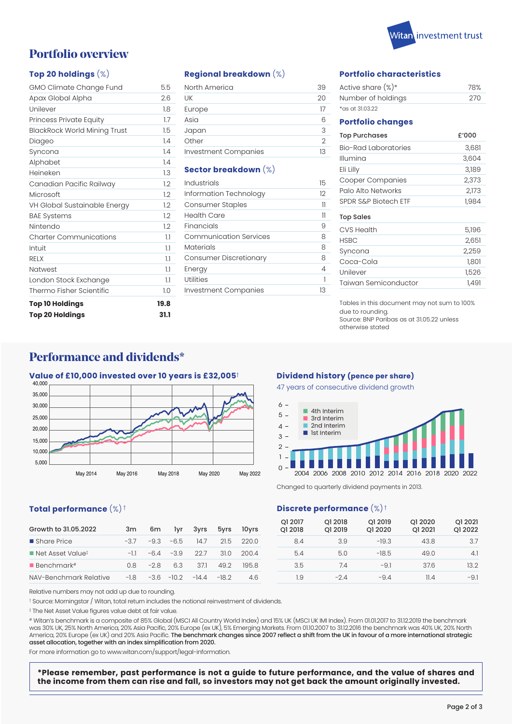

# **Portfolio overview**

### **Top 20 holdings** (%)

| GMO Climate Change Fund             | 5.5  |
|-------------------------------------|------|
| Apax Global Alpha                   | 2.6  |
| Unilever                            | 1.8  |
| Princess Private Equity             | 1.7  |
| <b>BlackRock World Mining Trust</b> | 1.5  |
| Diageo                              | 1.4  |
| Syncona                             | 1.4  |
| Alphabet                            | 14   |
| Heineken                            | 13   |
| Canadian Pacific Railway            | 1.2  |
| Microsoft                           | 1.2  |
| VH Global Sustainable Energy        | 1.2  |
| <b>BAE Systems</b>                  | 1.2  |
| Nintendo                            | 1.2  |
| <b>Charter Communications</b>       | 1.1  |
| Intuit                              | 1.1  |
| <b>RELX</b>                         | 1.1  |
| <b>Natwest</b>                      | 1.1  |
| London Stock Exchange               | 1.1  |
| Thermo Fisher Scientific            | 1.0  |
| <b>Top 10 Holdings</b>              | 19.8 |
| <b>Top 20 Holdings</b>              | 31.1 |

### **Regional breakdown** (%)

| North America        | 39 |
|----------------------|----|
| UK                   | 20 |
| Europe               | 17 |
| Asia                 | Բ  |
| Japan                | 3  |
| Other                | 2  |
| Investment Companies | 13 |

### **Sector breakdown** (%)

| Industrials                   | 15 |
|-------------------------------|----|
| Information Technology        | 12 |
| Consumer Staples              | 11 |
| Health Care                   | 11 |
| Financials                    | 9  |
| <b>Communication Services</b> | 8  |
| <b>Materials</b>              | 8  |
| Consumer Discretionary        | 8  |
| Energy                        | 4  |
| Utilities                     | 1  |
| Investment Companies          | 13 |

### **Portfolio characteristics**

| Active share $(\%)^*$ | 78%  |
|-----------------------|------|
| Number of holdings    | -270 |
| $*$ as at 31.03.22    |      |

#### **Portfolio changes**

| <b>Top Purchases</b>    | £'000 |
|-------------------------|-------|
| Bio-Rad Laboratories    | 3,681 |
| Illumina                | 3,604 |
| Eli Lilly               | 3,189 |
| <b>Cooper Companies</b> | 2,373 |
| Palo Alto Networks      | 2,173 |
| SPDR S&P Biotech FTF    | 1,984 |
|                         |       |

### Top Sales

| CVS Health           | 5,196 |
|----------------------|-------|
| <b>HSBC</b>          | 2,651 |
| Syncona              | 2,259 |
| Coca-Cola            | 1,801 |
| Unilever             | 1,526 |
| Taiwan Semiconductor | 1.491 |

Tables in this document may not sum to 100% due to rounding. Source: BNP Paribas as at 31.05.22 unless otherwise stated

## **Performance and dividends\***

### **Value of £10,000 invested over 10 years is £32,005**†



### **Total performance** (%) †

| Growth to 31.05.2022                        | 3m l  |  | 6m lyr 3yrs 5yrs 10yrs                |           |
|---------------------------------------------|-------|--|---------------------------------------|-----------|
| ■ Share Price                               | $-37$ |  | $-9.3 -6.5$ 14.7                      | 215, 2200 |
| $\blacksquare$ Net Asset Value <sup>‡</sup> |       |  | $-11 -6.4 -3.9$ 22.7 31.0 200.4       |           |
| <b>Benchmark</b> #                          |       |  | $0.8 -2.8 6.3 37.1 49.2$              | 1958      |
| NAV-Benchmark Relative                      |       |  | $-1.8$ $-3.6$ $-10.2$ $-14.4$ $-18.2$ | 46        |

### **Dividend history (pence per share)**

47 years of consecutive dividend growth



Changed to quarterly dividend payments in 2013.

### **Discrete performance** (%) †

| Q1 2017<br>Q1 2018 | Q1 2018<br>Q1 2019 | Q1 2019<br>Q1 2020 | Q1 2020<br>Q1 2021 | Q1 2021<br>Q1 2022 |
|--------------------|--------------------|--------------------|--------------------|--------------------|
| 8.4                | 3.9                | $-19.3$            | 43.8               | 3.7                |
| 5.4                | 5.0                | $-18.5$            | 49.0               | 4.1                |
| 3.5                | 74                 | $-91$              | 37.6               | 13.2               |
| 1.9                | $-2.4$             | $-9.4$             | 11 4               | $-9.1$             |

Relative numbers may not add up due to rounding.

† Source: Morningstar / Witan, total return includes the notional reinvestment of dividends.

‡ The Net Asset Value figures value debt at fair value.

# Witan's benchmark is a composite of 85% Global (MSCI All Country World Index) and 15% UK (MSCI UK IMI Index). From 01.01.2017 to 31.12.2019 the benchmark was 30% UK, 25% North America, 20% Asia Pacific, 20% Europe (ex UK), 5% Emerging Markets. From 01.10.2007 to 31.12.2016 the benchmark was 40% UK, 20% North America, 20% Europe (ex UK) and 20% Asia Pacific. The benchmark changes since 2007 reflect a shift from the UK in favour of a more international strategic asset allocation, together with an index simplification from 2020.

For more information go to www.witan.com/support/legal-information.

**\*Please remember, past performance is not a guide to future performance, and the value of shares and the income from them can rise and fall, so investors may not get back the amount originally invested.**